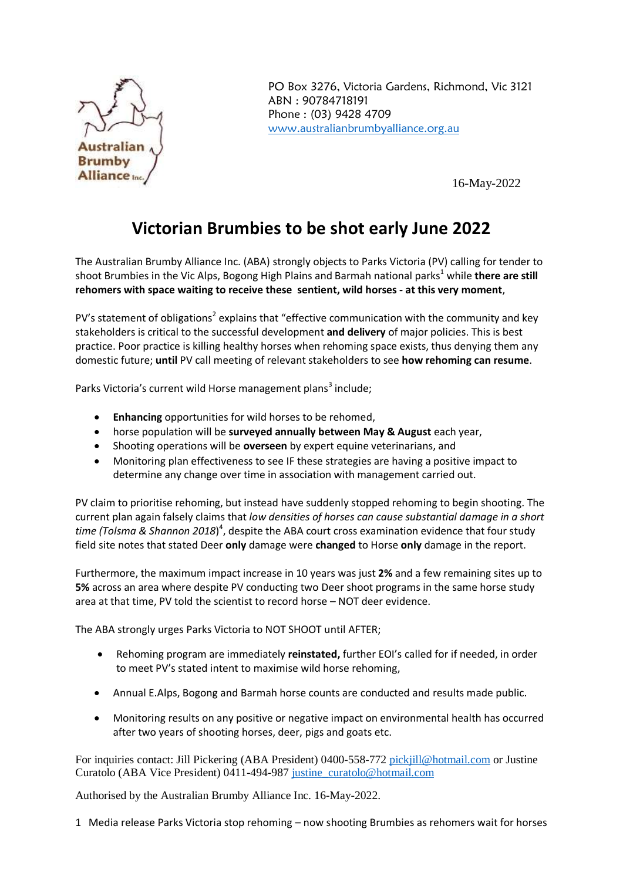

PO Box 3276, Victoria Gardens, Richmond, Vic 3121 ABN : 90784718191 Phone : (03) 9428 4709 [www.australianbrumbyalliance.org.au](http://www.australianbrumbyalliance.org.au/)

16-May-2022

## **Victorian Brumbies to be shot early June 2022**

The Australian Brumby Alliance Inc. (ABA) strongly objects to Parks Victoria (PV) calling for tender to shoot Brumbies in the Vic Alps, Bogong High Plains and Barmah national parks <sup>1</sup> while **there are still rehomers with space waiting to receive these sentient, wild horses - at this very moment**,

PV's statement of obligations<sup>2</sup> explains that "effective communication with the community and key stakeholders is critical to the successful development **and delivery** of major policies. This is best practice. Poor practice is killing healthy horses when rehoming space exists, thus denying them any domestic future; **until** PV call meeting of relevant stakeholders to see **how rehoming can resume**.

Parks Victoria's current wild Horse management plans<sup>3</sup> include;

- **Enhancing** opportunities for wild horses to be rehomed,
- horse population will be **surveyed annually between May & August** each year,
- Shooting operations will be **overseen** by expert equine veterinarians, and
- Monitoring plan effectiveness to see IF these strategies are having a positive impact to determine any change over time in association with management carried out.

PV claim to prioritise rehoming, but instead have suddenly stopped rehoming to begin shooting. The current plan again falsely claims that *low densities of horses can cause substantial damage in a short time (Tolsma & Shannon 2018*) 4 , despite the ABA court cross examination evidence that four study field site notes that stated Deer **only** damage were **changed** to Horse **only** damage in the report.

Furthermore, the maximum impact increase in 10 years was just **2%** and a few remaining sites up to **5%** across an area where despite PV conducting two Deer shoot programs in the same horse study area at that time, PV told the scientist to record horse – NOT deer evidence.

The ABA strongly urges Parks Victoria to NOT SHOOT until AFTER;

- Rehoming program are immediately **reinstated,** further EOI's called for if needed, in order to meet PV's stated intent to maximise wild horse rehoming,
- Annual E.Alps, Bogong and Barmah horse counts are conducted and results made public.
- Monitoring results on any positive or negative impact on environmental health has occurred after two years of shooting horses, deer, pigs and goats etc.

For inquiries contact: Jill Pickering (ABA President) 0400-558-772 [pickjill@hotmail.com](mailto:pickjill@hotmail.com) or Justine Curatolo (ABA Vice President) 0411-494-987 [justine\\_curatolo@hotmail.com](mailto:justine_curatolo@hotmail.com) 

Authorised by the Australian Brumby Alliance Inc. 16-May-2022.

1 Media release Parks Victoria stop rehoming – now shooting Brumbies as rehomers wait for horses